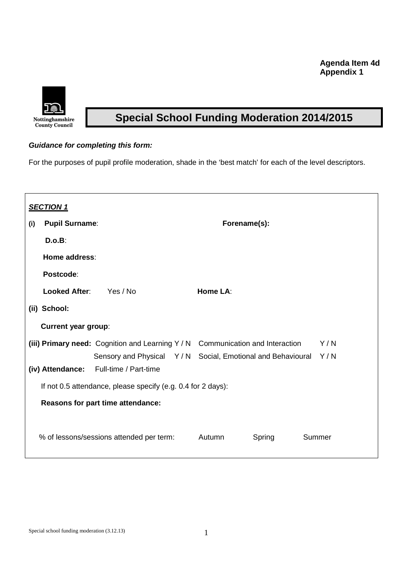## **Agenda Item 4d Appendix 1**



# **Special School Funding Moderation 2014/2015**

#### **Guidance for completing this form:**

For the purposes of pupil profile moderation, shade in the 'best match' for each of the level descriptors.

| <b>SECTION 1</b> |                                                              |                                                                                     |              |        |        |  |  |  |  |
|------------------|--------------------------------------------------------------|-------------------------------------------------------------------------------------|--------------|--------|--------|--|--|--|--|
| (i)              | <b>Pupil Surname:</b>                                        |                                                                                     | Forename(s): |        |        |  |  |  |  |
|                  | D.o.B:                                                       |                                                                                     |              |        |        |  |  |  |  |
|                  | Home address:                                                |                                                                                     |              |        |        |  |  |  |  |
|                  | Postcode:                                                    |                                                                                     |              |        |        |  |  |  |  |
|                  | <b>Looked After:</b>                                         | Yes / No                                                                            | Home LA:     |        |        |  |  |  |  |
|                  | (ii) School:                                                 |                                                                                     |              |        |        |  |  |  |  |
|                  | <b>Current year group:</b>                                   |                                                                                     |              |        |        |  |  |  |  |
|                  |                                                              | (iii) Primary need: Cognition and Learning Y / N Communication and Interaction      |              |        | Y/N    |  |  |  |  |
|                  | (iv) Attendance:                                             | Sensory and Physical Y/N Social, Emotional and Behavioural<br>Full-time / Part-time |              |        | Y/N    |  |  |  |  |
|                  | If not 0.5 attendance, please specify (e.g. 0.4 for 2 days): |                                                                                     |              |        |        |  |  |  |  |
|                  | Reasons for part time attendance:                            |                                                                                     |              |        |        |  |  |  |  |
|                  |                                                              | % of lessons/sessions attended per term:                                            | Autumn       | Spring | Summer |  |  |  |  |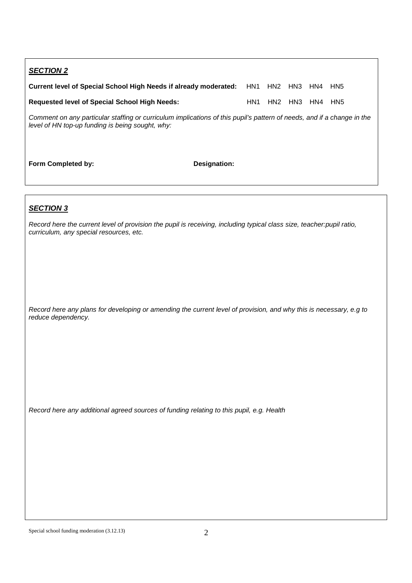| <b>SECTION 2</b>                                                                                                                                                           |     |                 |             |         |     |  |  |
|----------------------------------------------------------------------------------------------------------------------------------------------------------------------------|-----|-----------------|-------------|---------|-----|--|--|
| Current level of Special School High Needs if already moderated:                                                                                                           |     |                 | HN1 HN2 HN3 | HN4 HN5 |     |  |  |
| <b>Requested level of Special School High Needs:</b>                                                                                                                       | HN1 | HN <sub>2</sub> | HN3         | HN4     | HN5 |  |  |
| Comment on any particular staffing or curriculum implications of this pupil's pattern of needs, and if a change in the<br>level of HN top-up funding is being sought, why: |     |                 |             |         |     |  |  |

Form Completed by: **Designation:** 

#### **SECTION 3**

Record here the current level of provision the pupil is receiving, including typical class size, teacher:pupil ratio, curriculum, any special resources, etc.

Record here any plans for developing or amending the current level of provision, and why this is necessary, e.g to reduce dependency.

Record here any additional agreed sources of funding relating to this pupil, e.g. Health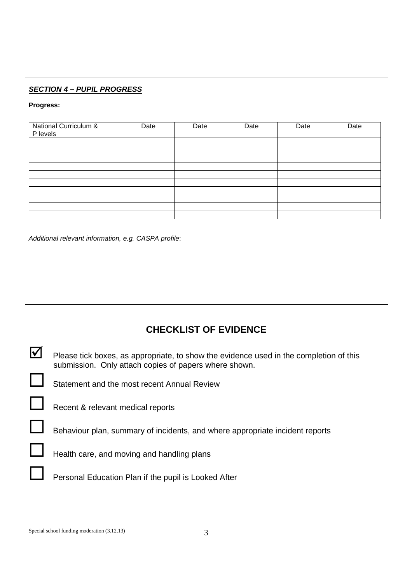## **SECTION 4 – PUPIL PROGRESS**

#### **Progress:**

| National Curriculum &<br>P levels | Date | Date | Date | Date | Date |
|-----------------------------------|------|------|------|------|------|
|                                   |      |      |      |      |      |
|                                   |      |      |      |      |      |
|                                   |      |      |      |      |      |
|                                   |      |      |      |      |      |
|                                   |      |      |      |      |      |
|                                   |      |      |      |      |      |
|                                   |      |      |      |      |      |
|                                   |      |      |      |      |      |
|                                   |      |      |      |      |      |

Additional relevant information, e.g. CASPA profile:

# **CHECKLIST OF EVIDENCE**

- $\blacktriangleright$  Please tick boxes, as appropriate, to show the evidence used in the completion of this submission. Only attach copies of papers where shown.  $\Box$ 
	- Statement and the most recent Annual Review
	- $\Gamma$  Recent & relevant medical reports
		- Behaviour plan, summary of incidents, and where appropriate incident reports
		- Health care, and moving and handling plans
		- Personal Education Plan if the pupil is Looked After

 $\Box$ 

 $\Box$ 

 $\Box$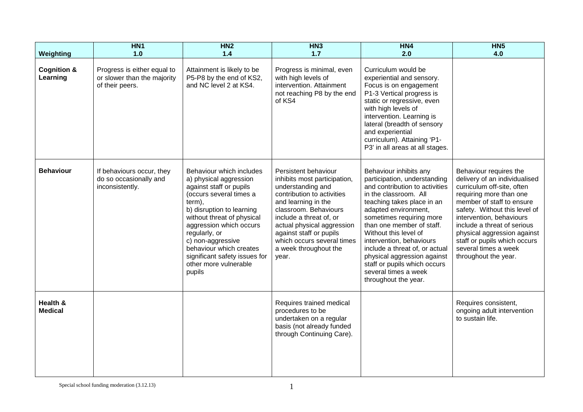| Weighting                          | HN <sub>1</sub><br>1.0                                                        | HN <sub>2</sub><br>1.4                                                                                                                                                                                                                                                                                                                        | HN3<br>$1.7$                                                                                                                                                                                                                                                                                                | HN4<br>2.0                                                                                                                                                                                                                                                                                                                                                                                                                             | HN <sub>5</sub><br>4.0                                                                                                                                                                                                                                                                                                                                   |
|------------------------------------|-------------------------------------------------------------------------------|-----------------------------------------------------------------------------------------------------------------------------------------------------------------------------------------------------------------------------------------------------------------------------------------------------------------------------------------------|-------------------------------------------------------------------------------------------------------------------------------------------------------------------------------------------------------------------------------------------------------------------------------------------------------------|----------------------------------------------------------------------------------------------------------------------------------------------------------------------------------------------------------------------------------------------------------------------------------------------------------------------------------------------------------------------------------------------------------------------------------------|----------------------------------------------------------------------------------------------------------------------------------------------------------------------------------------------------------------------------------------------------------------------------------------------------------------------------------------------------------|
| <b>Cognition &amp;</b><br>Learning | Progress is either equal to<br>or slower than the majority<br>of their peers. | Attainment is likely to be<br>P5-P8 by the end of KS2,<br>and NC level 2 at KS4.                                                                                                                                                                                                                                                              | Progress is minimal, even<br>with high levels of<br>intervention. Attainment<br>not reaching P8 by the end<br>of KS4                                                                                                                                                                                        | Curriculum would be<br>experiential and sensory.<br>Focus is on engagement<br>P1-3 Vertical progress is<br>static or regressive, even<br>with high levels of<br>intervention. Learning is<br>lateral (breadth of sensory<br>and experiential<br>curriculum). Attaining 'P1-<br>P3' in all areas at all stages.                                                                                                                         |                                                                                                                                                                                                                                                                                                                                                          |
| <b>Behaviour</b>                   | If behaviours occur, they<br>do so occasionally and<br>inconsistently.        | Behaviour which includes<br>a) physical aggression<br>against staff or pupils<br>(occurs several times a<br>term),<br>b) disruption to learning<br>without threat of physical<br>aggression which occurs<br>regularly, or<br>c) non-aggressive<br>behaviour which creates<br>significant safety issues for<br>other more vulnerable<br>pupils | Persistent behaviour<br>inhibits most participation,<br>understanding and<br>contribution to activities<br>and learning in the<br>classroom. Behaviours<br>include a threat of, or<br>actual physical aggression<br>against staff or pupils<br>which occurs several times<br>a week throughout the<br>year. | Behaviour inhibits any<br>participation, understanding<br>and contribution to activities<br>in the classroom. All<br>teaching takes place in an<br>adapted environment,<br>sometimes requiring more<br>than one member of staff.<br>Without this level of<br>intervention, behaviours<br>include a threat of, or actual<br>physical aggression against<br>staff or pupils which occurs<br>several times a week<br>throughout the year. | Behaviour requires the<br>delivery of an individualised<br>curriculum off-site, often<br>requiring more than one<br>member of staff to ensure<br>safety. Without this level of<br>intervention, behaviours<br>include a threat of serious<br>physical aggression against<br>staff or pupils which occurs<br>several times a week<br>throughout the year. |
| Health &<br><b>Medical</b>         |                                                                               |                                                                                                                                                                                                                                                                                                                                               | Requires trained medical<br>procedures to be<br>undertaken on a regular<br>basis (not already funded<br>through Continuing Care).                                                                                                                                                                           |                                                                                                                                                                                                                                                                                                                                                                                                                                        | Requires consistent,<br>ongoing adult intervention<br>to sustain life.                                                                                                                                                                                                                                                                                   |